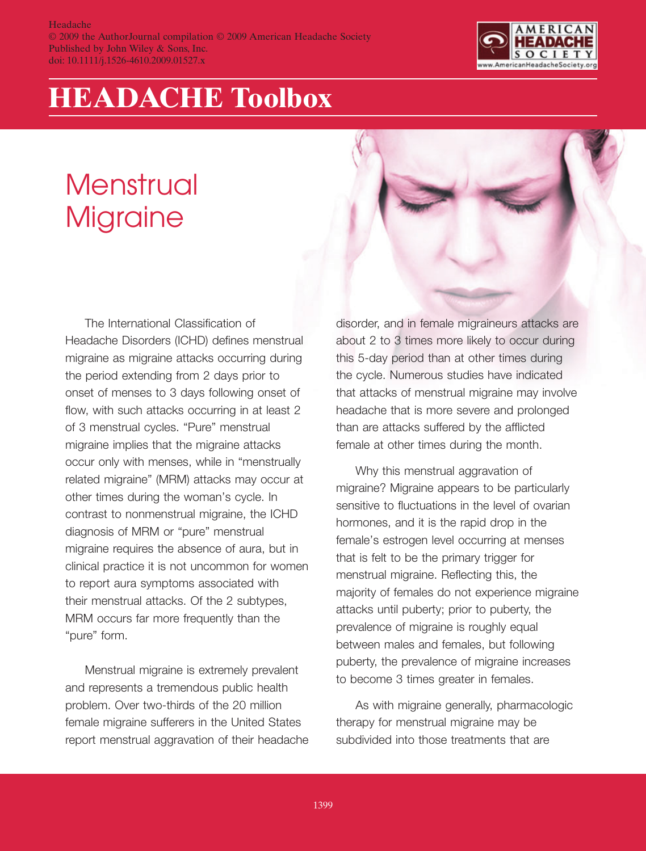

## **HEADACHE Toolbox**

## **Menstrual** Migraine

The International Classification of Headache Disorders (ICHD) defines menstrual migraine as migraine attacks occurring during the period extending from 2 days prior to onset of menses to 3 days following onset of flow, with such attacks occurring in at least 2 of 3 menstrual cycles. "Pure" menstrual migraine implies that the migraine attacks occur only with menses, while in "menstrually related migraine" (MRM) attacks may occur at other times during the woman's cycle. In contrast to nonmenstrual migraine, the ICHD diagnosis of MRM or "pure" menstrual migraine requires the absence of aura, but in clinical practice it is not uncommon for women to report aura symptoms associated with their menstrual attacks. Of the 2 subtypes, MRM occurs far more frequently than the "pure" form.

Menstrual migraine is extremely prevalent and represents a tremendous public health problem. Over two-thirds of the 20 million female migraine sufferers in the United States report menstrual aggravation of their headache disorder, and in female migraineurs attacks are about 2 to 3 times more likely to occur during this 5-day period than at other times during the cycle. Numerous studies have indicated that attacks of menstrual migraine may involve headache that is more severe and prolonged than are attacks suffered by the afflicted female at other times during the month.

Why this menstrual aggravation of migraine? Migraine appears to be particularly sensitive to fluctuations in the level of ovarian hormones, and it is the rapid drop in the female's estrogen level occurring at menses that is felt to be the primary trigger for menstrual migraine. Reflecting this, the majority of females do not experience migraine attacks until puberty; prior to puberty, the prevalence of migraine is roughly equal between males and females, but following puberty, the prevalence of migraine increases to become 3 times greater in females.

As with migraine generally, pharmacologic therapy for menstrual migraine may be subdivided into those treatments that are